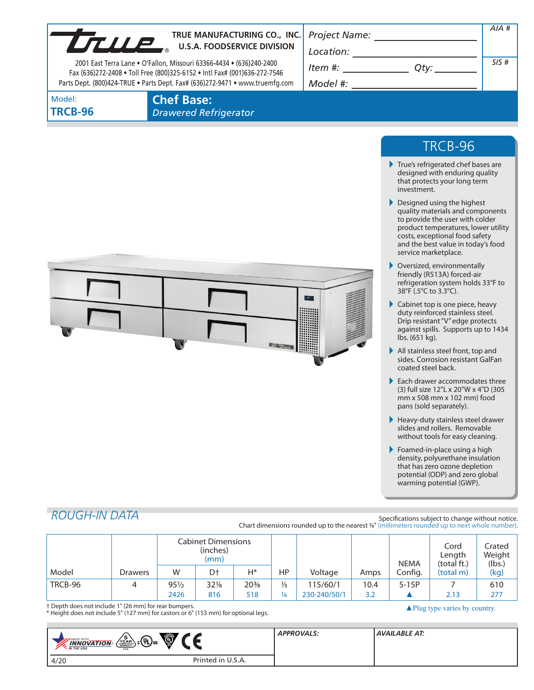| UTULE             | TRUE MANUFACTURING CO., INC.<br><b>U.S.A. FOODSERVICE DIVISION</b><br>2001 East Terra Lane • O'Fallon, Missouri 63366-4434 • (636)240-2400<br>Fax (636)272-2408 . Toll Free (800)325-6152 . Intl Fax# (001)636-272-7546 | Project Name:<br>Location:<br>Item #: | AIA #<br>SIS#                                                                                        |  |
|-------------------|-------------------------------------------------------------------------------------------------------------------------------------------------------------------------------------------------------------------------|---------------------------------------|------------------------------------------------------------------------------------------------------|--|
|                   | Parts Dept. (800)424-TRUE . Parts Dept. Fax# (636)272-9471 . www.truemfg.com                                                                                                                                            | Model #:                              |                                                                                                      |  |
| Model:<br>TRCB-96 | <b>Chef Base:</b><br><b>Drawered Refrigerator</b>                                                                                                                                                                       |                                       |                                                                                                      |  |
|                   |                                                                                                                                                                                                                         |                                       |                                                                                                      |  |
|                   |                                                                                                                                                                                                                         |                                       | TRCB-96                                                                                              |  |
|                   |                                                                                                                                                                                                                         |                                       | True's refrigerated chef bases are<br>designed with enduring quality<br>that protects your long term |  |

Designed using the highest quality materials and components to provide the user with colder product temperatures, lower utility costs, exceptional food safety and the best value in today's food service marketplace.

investment.

- Oversized, environmentally friendly (R513A) forced-air refrigeration system holds 33°F to 38°F (.5°C to 3.3°C).
- Cabinet top is one piece, heavy duty reinforced stainless steel. Drip resistant "V" edge protects against spills. Supports up to 1434 lbs. (651 kg).
- All stainless steel front, top and sides. Corrosion resistant GalFan coated steel back.
- Each drawer accommodates three (3) full size 12"L x 20"W x 4"D (305 mm x 508 mm x 102 mm) food pans (sold separately).
- Heavy-duty stainless steel drawer slides and rollers. Removable without tools for easy cleaning.
- Foamed-in-place using a high density, polyurethane insulation that has zero ozone depletion potential (ODP) and zero global warming potential (GWP).

# *ROUGH-IN DATA*

Specifications subject to change without notice. Chart dimensions rounded up to the nearest %" (millimeters rounded up to next whole number).

|         |                | <b>Cabinet Dimensions</b><br>(inches)<br>(mm) |        |                 |               |              |      | <b>NEMA</b> | Cord<br>Length<br>(total ft.) | Crated<br>Weight<br>(lbs.) |
|---------|----------------|-----------------------------------------------|--------|-----------------|---------------|--------------|------|-------------|-------------------------------|----------------------------|
| Model   | <b>Drawers</b> | W                                             | D†     | $H^*$           | HP.           | Voltage      | Amps | Config.     | (total m)                     | (kg)                       |
| TRCB-96 | 4              | $95\frac{1}{2}$                               | $32\%$ | $20\frac{3}{8}$ | $\frac{1}{3}$ | 115/60/1     | 10.4 | $5-15P$     |                               | 610                        |
|         |                | 2426                                          | 816    | 518             | $\frac{1}{4}$ | 230-240/50/1 | 3.2  |             | 2.13                          | 277                        |

† Depth does not include 1" (26 mm) for rear bumpers.

† Depth does not include 1" (26 mm) for rear bumpers.<br>\* Height does not include 5" (127 mm) for castors or 6" (153 mm) for optional legs.

| Ö<br>$\sqrt{\frac{5}{\sum_{\substack{ \text{Couphassor} \\ \text{vanassov}}}$<br>$\Gamma_{\rm c}({\tt V_L})_{\rm us}$<br><b>MADE WITH_</b><br><b>INNOVATION</b><br><b>M</b> THE USA<br><b>USA</b> | <b>APPROVALS:</b> | <b>AVAILABLE AT:</b> |
|---------------------------------------------------------------------------------------------------------------------------------------------------------------------------------------------------|-------------------|----------------------|
| Printed in U.S.A.<br>4/20                                                                                                                                                                         |                   |                      |